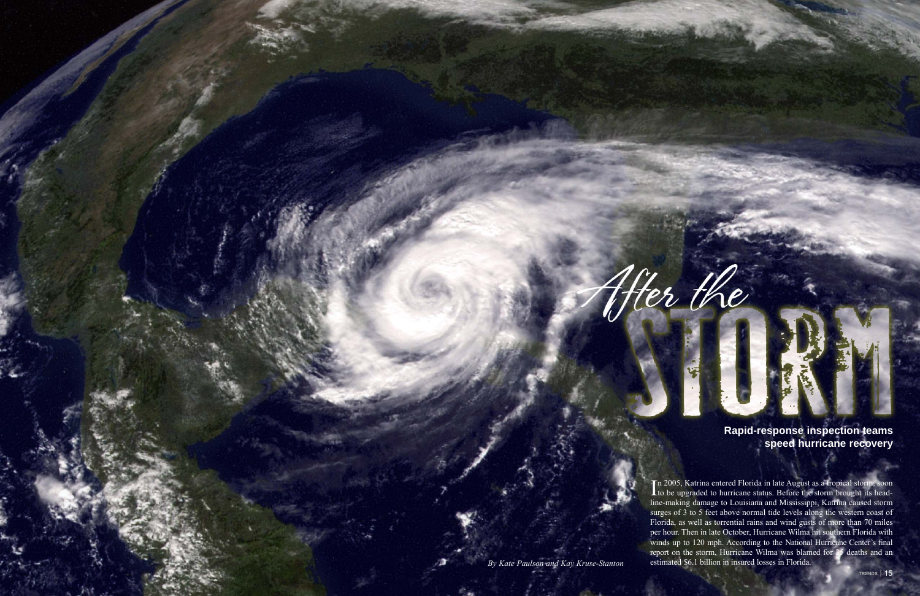In 2005, Katrina entered Florida in late August as a tropical storm, soon to be upgraded to hurricane status. Before the storm brought its headline-making damage to Louisiana and Mississippi, Katrina caused storm surges of 3 to 5 feet above normal tide levels along the western coast of Florida, as well as torrential rains and wind gusts of more than 70 miles per hour. Then in late October, Hurricane Wilma hit southern Florida with winds up to 120 mph. According to the National Hurricane Center's final report on the storm, Hurricane Wilma was blamed for 35 deaths and an estimated \$6.1 billion in insured losses in Florida.

After the

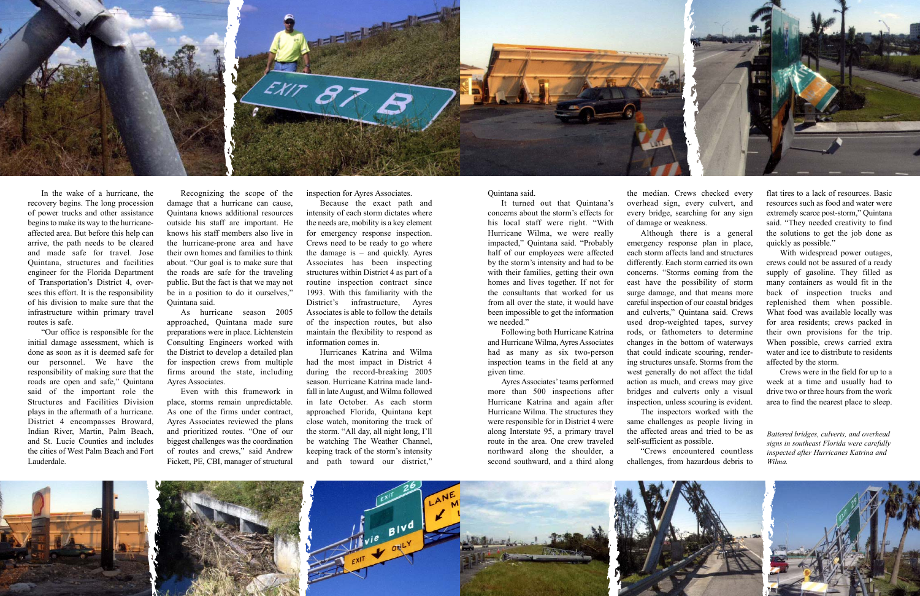

In the wake of a hurricane, the recovery begins. The long procession of power trucks and other assistance begins to make its way to the hurricaneaffected area. But before this help can arrive, the path needs to be cleared and made safe for travel. Jose Quintana, structures and facilities engineer for the Florida Department of Transportation's District 4, oversees this effort. It is the responsibility of his division to make sure that the infrastructure within primary travel routes is safe.

"Our office is responsible for the initial damage assessment, which is done as soon as it is deemed safe for our personnel. We have the responsibility of making sure that the roads are open and safe," Quintana said of the important role the Structures and Facilities Division plays in the aftermath of a hurricane. District 4 encompasses Broward, Indian River, Martin, Palm Beach, and St. Lucie Counties and includes the cities of West Palm Beach and Fort Lauderdale.

Recognizing the scope of the damage that a hurricane can cause,

Quintana knows additional resources outside his staff are important. He knows his staff members also live in the hurricane-prone area and have their own homes and families to think about. "Our goal is to make sure that the roads are safe for the traveling public. But the fact is that we may not be in a position to do it ourselves," Quintana said.

As hurricane season 2005 approached, Quintana made sure preparations were in place. Lichtenstein Consulting Engineers worked with the District to develop a detailed plan for inspection crews from multiple firms around the state, including Ayres Associates.

Even with this framework in place, storms remain unpredictable. As one of the firms under contract, Ayres Associates reviewed the plans and prioritized routes. "One of our biggest challenges was the coordination of routes and crews," said Andrew Fickett, PE, CBI, manager of structural inspection for Ayres Associates.

Because the exact path and intensity of each storm dictates where the needs are, mobility is a key element for emergency response inspection. Crews need to be ready to go where the damage is – and quickly. Ayres Associates has been inspecting structures within District 4 as part of a routine inspection contract since 1993. With this familiarity with the District's infrastructure, Ayres Associates is able to follow the details of the inspection routes, but also maintain the flexibility to respond as information comes in.

Hurricanes Katrina and Wilma had the most impact in District 4 during the record-breaking 2005 season. Hurricane Katrina made landfall in late August, and Wilma followed in late October. As each storm approached Florida, Quintana kept close watch, monitoring the track of the storm. "All day, all night long, I'll be watching The Weather Channel, keeping track of the storm's intensity and path toward our district,"

Quintana said.

It turned out that Quintana's concerns about the storm's effects for his local staff were right. "With Hurricane Wilma, we were really impacted," Quintana said. "Probably half of our employees were affected by the storm's intensity and had to be with their families, getting their own homes and lives together. If not for the consultants that worked for us from all over the state, it would have been impossible to get the information we needed."

Following both Hurricane Katrina and Hurricane Wilma, Ayres Associates had as many as six two-person inspection teams in the field at any given time.

Ayres Associates' teams performed more than 500 inspections after Hurricane Katrina and again after Hurricane Wilma. The structures they were responsible for in District 4 were along Interstate 95, a primary travel route in the area. One crew traveled northward along the shoulder, a second southward, and a third along the median. Crews checked every overhead sign, every culvert, and every bridge, searching for any sign of damage or weakness.

Although there is a general emergency response plan in place, each storm affects land and structures differently. Each storm carried its own concerns. "Storms coming from the east have the possibility of storm surge damage, and that means more careful inspection of our coastal bridges and culverts," Quintana said. Crews used drop-weighted tapes, survey rods, or fathometers to determine changes in the bottom of waterways that could indicate scouring, rendering structures unsafe. Storms from the west generally do not affect the tidal action as much, and crews may give bridges and culverts only a visual inspection, unless scouring is evident. The inspectors worked with the same challenges as people living in the affected areas and tried to be as self-sufficient as possible.

"Crews encountered countless challenges, from hazardous debris to



flat tires to a lack of resources. Basic resources such as food and water were extremely scarce post-storm," Quintana said. "They needed creativity to find the solutions to get the job done as quickly as possible."

With widespread power outages, crews could not be assured of a ready supply of gasoline. They filled as many containers as would fit in the back of inspection trucks and replenished them when possible. What food was available locally was for area residents; crews packed in their own provisions for the trip. When possible, crews carried extra water and ice to distribute to residents affected by the storm.

Crews were in the field for up to a week at a time and usually had to drive two or three hours from the work area to find the nearest place to sleep.

*Battered bridges, culverts, and overhead signs in southeast Florida were carefully inspected after Hurricanes Katrina and Wilma.*